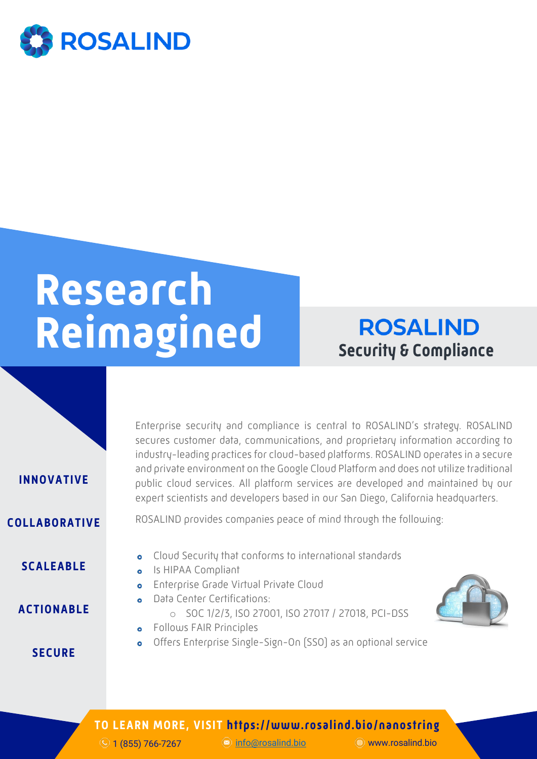

## **Research Reimagined**

**ROSALIND Security & Compliance**



**COLLABORATIVE**

**INNOVATIVE**

**SCALEABLE**

**ACTIONABLE**

**SECURE**

- **o** Cloud Security that conforms to international standards
- **o** Is HIPAA Compliant
	- **•** Enterprise Grade Virtual Private Cloud
	- **o** Data Center Certifications: o SOC 1/2/3, ISO 27001, ISO 27017 / 27018, PCI-DSS
	- **•** Follows FAIR Principles
	- Offers Enterprise Single-Sign-On (SSO) as an optional service  $\bullet$

# ROSALIND provides companies peace of mind through the following: